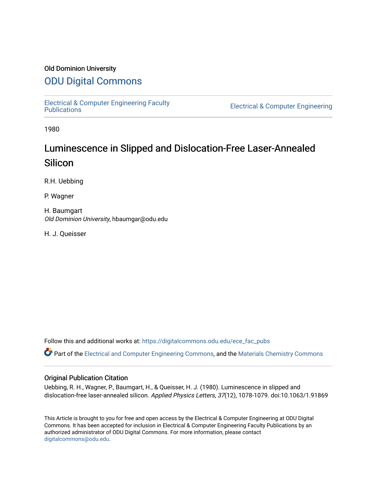### Old Dominion University

### [ODU Digital Commons](https://digitalcommons.odu.edu/)

[Electrical & Computer Engineering Faculty](https://digitalcommons.odu.edu/ece_fac_pubs) 

**Electrical & Computer Engineering** 

1980

# Luminescence in Slipped and Dislocation-Free Laser-Annealed Silicon

R.H. Uebbing

P. Wagner

H. Baumgart Old Dominion University, hbaumgar@odu.edu

H. J. Queisser

Follow this and additional works at: [https://digitalcommons.odu.edu/ece\\_fac\\_pubs](https://digitalcommons.odu.edu/ece_fac_pubs?utm_source=digitalcommons.odu.edu%2Fece_fac_pubs%2F237&utm_medium=PDF&utm_campaign=PDFCoverPages) 

Part of the [Electrical and Computer Engineering Commons](http://network.bepress.com/hgg/discipline/266?utm_source=digitalcommons.odu.edu%2Fece_fac_pubs%2F237&utm_medium=PDF&utm_campaign=PDFCoverPages), and the Materials Chemistry Commons

#### Original Publication Citation

Uebbing, R. H., Wagner, P., Baumgart, H., & Queisser, H. J. (1980). Luminescence in slipped and dislocation-free laser-annealed silicon. Applied Physics Letters, 37(12), 1078-1079. doi:10.1063/1.91869

This Article is brought to you for free and open access by the Electrical & Computer Engineering at ODU Digital Commons. It has been accepted for inclusion in Electrical & Computer Engineering Faculty Publications by an authorized administrator of ODU Digital Commons. For more information, please contact [digitalcommons@odu.edu](mailto:digitalcommons@odu.edu).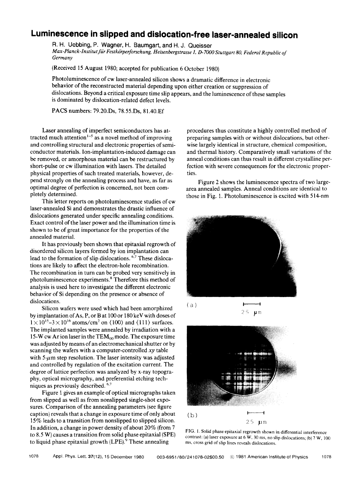## **Luminescence in slipped and dislocation-free laser-annealed silicon**

R. H. Uebbing, P. Wagner, H. Baumgart, and H.J. Queisser *Max-Planck-Institutfiir Festkorperforschung, Heisenbergstrasse 1, D-7000 Stuttgart 80, Federal Republic of Germany* 

(Received 15 August 1980; accepted for publication 6 October 1980)

Photoluminescence of cw laser-annealed silicon shows a dramatic difference in electronic behavior of the reconstructed material depending upon either creation or suppression of dislocations. Beyond a critical exposure time slip appears, and the luminescence of these samples is dominated by dislocation-related defect levels.

**PACS** numbers: 79.20.Ds, 78.55.Ds, 81.40.Ef

Laser annealing of imperfect semiconductors has attracted much attention<sup>1-5</sup> as a novel method of improving and controlling structural and electronic properties of semiconductor materials. Ion-implantation-induced damage can be removed, or amorphous material can be restructured by short-pulse or cw illumination with lasers. The detailed physical properties of such treated materials, however, depend strongly on the annealing process and have, as far as optimal degree of perfection is concerned, not been completely determined.

This letter reports on photoluminescence studies of cw laser-annealed Si and demonstrates the drastic influence of dislocations generated under specific annealing conditions. Exact control of the laser power and the illumination time is shown to be of great importance for the properties of the annealed material.

It has previously been shown that epitaxial regrowth of disordered silicon layers formed by ion implantation can lead to the formation of slip dislocations. <sup>6,7</sup> These dislocations are likely to affect the electron-hole recombination. The recombination in turn can be probed very sensitively in photoluminescence experiments.<sup>8</sup> Therefore this method of analysis is used here to investigate the different electronic behavior of Si depending on the presence or absence of dislocations.

Silicon wafers were used which had been amorphized by implantation of As, P, or Bat lOOor 180keV with doses of  $1 \times 10^{15} - 3 \times 10^{16}$  atoms/cm<sup>2</sup> on  $\langle 100 \rangle$  and  $\langle 111 \rangle$  surfaces. The implanted samples were annealed by irradiation with a 15-W cw Ar ion laser in the  $TEM_{00}$  mode. The exposure time was adjusted by means of an electromechanical shutter or by scanning the wafers with a computer-controlled xy table with 5-*µm* step resolution. The laser intensity was adjusted and controlled by regulation of the excitation current. The degree of lattice perfection was analyzed by x-ray topography, optical micrography, and preferential etching techniques as previously described. 6,7

Figure 1 gives an example of optical micrographs taken from slipped as well as from nonslipped single-shot exposures. Comparison of the annealing parameters (see figure caption) reveals that a change in exposure time of only about 15% leads to a transition from nonslipped to slipped silicon. In addition, a change in power density of about 20% (from 7 to 8.5 **W)** causes a transition from solid phase epitaxial **(SPE)**  to liquid phase epitaxial growth (LPE).<sup>9</sup> These annealing

procedures thus constitute a highly controlled method of preparing samples with or without dislocations, but otherwise largely identical in structure, chemical composition, and thermal history. Comparatively small variations of the anneal conditions can thus result in different crystalline perfection with severe consequences for the electronic properties.

Figure 2 shows the luminescence spectra of two largearea annealed samples. Anneal conditions are identical to those in Fig. 1. Photoluminescence is excited with S 14-nm



25 **µ**m



2S *pm* 

FIG. I. Solid phase epitaxial regrowth shown in differential interference contrast: (a) laser exposure at 6 **W,** 30 ms, no slip dislocations; (b) 7 **W,** 100 ms, cross grid of slip lines reveals dislocations.